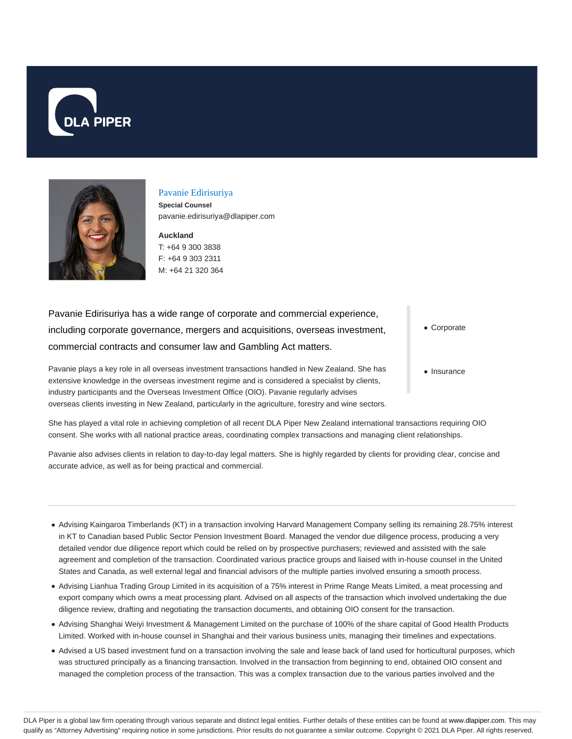



### Pavanie Edirisuriya

**Special Counsel** pavanie.edirisuriya@dlapiper.com

**Auckland**

T: +64 9 300 3838 F: +64 9 303 2311 M: +64 21 320 364

Pavanie Edirisuriya has a wide range of corporate and commercial experience, including corporate governance, mergers and acquisitions, overseas investment, commercial contracts and consumer law and Gambling Act matters.

Pavanie plays a key role in all overseas investment transactions handled in New Zealand. She has extensive knowledge in the overseas investment regime and is considered a specialist by clients, industry participants and the Overseas Investment Office (OIO). Pavanie regularly advises overseas clients investing in New Zealand, particularly in the agriculture, forestry and wine sectors. Corporate

• Insurance

She has played a vital role in achieving completion of all recent DLA Piper New Zealand international transactions requiring OIO consent. She works with all national practice areas, coordinating complex transactions and managing client relationships.

Pavanie also advises clients in relation to day-to-day legal matters. She is highly regarded by clients for providing clear, concise and accurate advice, as well as for being practical and commercial.

- Advising Kaingaroa Timberlands (KT) in a transaction involving Harvard Management Company selling its remaining 28.75% interest in KT to Canadian based Public Sector Pension Investment Board. Managed the vendor due diligence process, producing a very detailed vendor due diligence report which could be relied on by prospective purchasers; reviewed and assisted with the sale agreement and completion of the transaction. Coordinated various practice groups and liaised with in-house counsel in the United States and Canada, as well external legal and financial advisors of the multiple parties involved ensuring a smooth process.
- Advising Lianhua Trading Group Limited in its acquisition of a 75% interest in Prime Range Meats Limited, a meat processing and export company which owns a meat processing plant. Advised on all aspects of the transaction which involved undertaking the due diligence review, drafting and negotiating the transaction documents, and obtaining OIO consent for the transaction.
- Advising Shanghai Weiyi Investment & Management Limited on the purchase of 100% of the share capital of Good Health Products Limited. Worked with in-house counsel in Shanghai and their various business units, managing their timelines and expectations.
- Advised a US based investment fund on a transaction involving the sale and lease back of land used for horticultural purposes, which was structured principally as a financing transaction. Involved in the transaction from beginning to end, obtained OIO consent and managed the completion process of the transaction. This was a complex transaction due to the various parties involved and the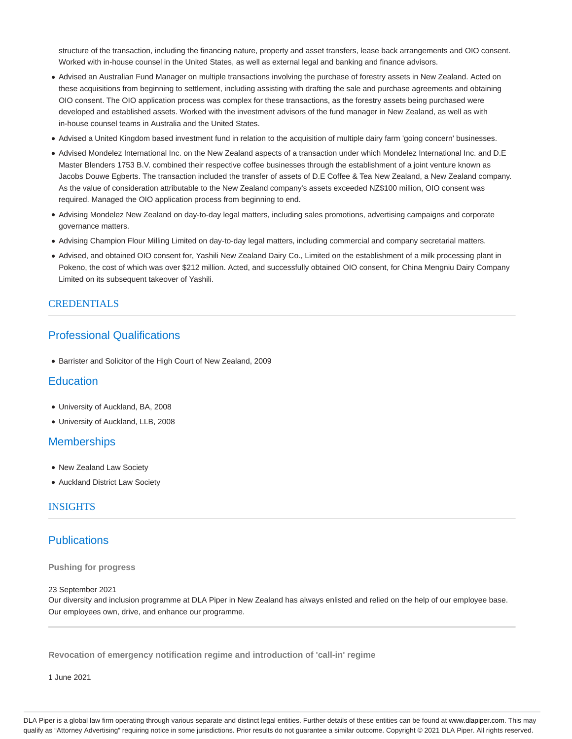structure of the transaction, including the financing nature, property and asset transfers, lease back arrangements and OIO consent. Worked with in-house counsel in the United States, as well as external legal and banking and finance advisors.

- Advised an Australian Fund Manager on multiple transactions involving the purchase of forestry assets in New Zealand. Acted on these acquisitions from beginning to settlement, including assisting with drafting the sale and purchase agreements and obtaining OIO consent. The OIO application process was complex for these transactions, as the forestry assets being purchased were developed and established assets. Worked with the investment advisors of the fund manager in New Zealand, as well as with in-house counsel teams in Australia and the United States.
- Advised a United Kingdom based investment fund in relation to the acquisition of multiple dairy farm 'going concern' businesses.
- Advised Mondelez International Inc. on the New Zealand aspects of a transaction under which Mondelez International Inc. and D.E Master Blenders 1753 B.V. combined their respective coffee businesses through the establishment of a joint venture known as Jacobs Douwe Egberts. The transaction included the transfer of assets of D.E Coffee & Tea New Zealand, a New Zealand company. As the value of consideration attributable to the New Zealand company's assets exceeded NZ\$100 million, OIO consent was required. Managed the OIO application process from beginning to end.
- Advising Mondelez New Zealand on day-to-day legal matters, including sales promotions, advertising campaigns and corporate governance matters.
- Advising Champion Flour Milling Limited on day-to-day legal matters, including commercial and company secretarial matters.
- Advised, and obtained OIO consent for, Yashili New Zealand Dairy Co., Limited on the establishment of a milk processing plant in Pokeno, the cost of which was over \$212 million. Acted, and successfully obtained OIO consent, for China Mengniu Dairy Company Limited on its subsequent takeover of Yashili.

## CREDENTIALS

# Professional Qualifications

Barrister and Solicitor of the High Court of New Zealand, 2009

# **Education**

- University of Auckland, BA, 2008
- University of Auckland, LLB, 2008

# **Memberships**

- New Zealand Law Society
- Auckland District Law Society

## INSIGHTS

## **Publications**

#### **Pushing for progress**

#### 23 September 2021

Our diversity and inclusion programme at DLA Piper in New Zealand has always enlisted and relied on the help of our employee base. Our employees own, drive, and enhance our programme.

**Revocation of emergency notification regime and introduction of 'call-in' regime**

1 June 2021

DLA Piper is a global law firm operating through various separate and distinct legal entities. Further details of these entities can be found at www.dlapiper.com. This may qualify as "Attorney Advertising" requiring notice in some jurisdictions. Prior results do not guarantee a similar outcome. Copyright @ 2021 DLA Piper. All rights reserved.